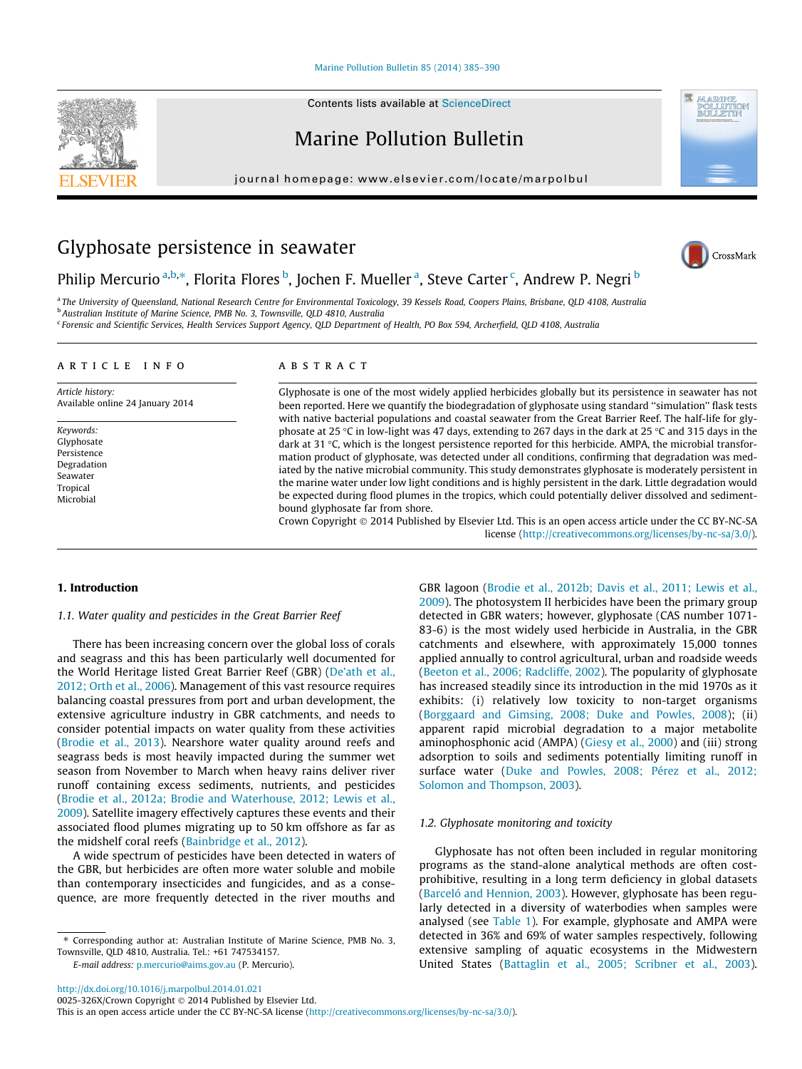#### [Marine Pollution Bulletin 85 \(2014\) 385–390](http://dx.doi.org/10.1016/j.marpolbul.2014.01.021)

Contents lists available at [ScienceDirect](http://www.sciencedirect.com/science/journal/0025326X)

# Marine Pollution Bulletin

journal homepage: [www.elsevier.com/locate/marpolbul](http://www.elsevier.com/locate/marpolbul)

# Glyphosate persistence in seawater

Philip Mercurio <sup>a,b,</sup>\*, Florita Flores <sup>b</sup>, Jochen F. Mueller <sup>a</sup>, Steve Carter <sup>c</sup>, Andrew P. Negri <sup>b</sup>

a The University of Queensland, National Research Centre for Environmental Toxicology, 39 Kessels Road, Coopers Plains, Brisbane, QLD 4108, Australia <sup>b</sup> Australian Institute of Marine Science, PMB No. 3, Townsville, QLD 4810, Australia

<sup>c</sup> Forensic and Scientific Services, Health Services Support Agency, QLD Department of Health, PO Box 594, Archerfield, QLD 4108, Australia

#### article info

Article history: Available online 24 January 2014

Keywords: Glyphosate Persistence Degradation Seawater Tropical Microbial

### ABSTRACT

Glyphosate is one of the most widely applied herbicides globally but its persistence in seawater has not been reported. Here we quantify the biodegradation of glyphosate using standard "simulation" flask tests with native bacterial populations and coastal seawater from the Great Barrier Reef. The half-life for glyphosate at 25 °C in low-light was 47 days, extending to 267 days in the dark at 25 °C and 315 days in the dark at 31  $\degree$ C, which is the longest persistence reported for this herbicide. AMPA, the microbial transformation product of glyphosate, was detected under all conditions, confirming that degradation was mediated by the native microbial community. This study demonstrates glyphosate is moderately persistent in the marine water under low light conditions and is highly persistent in the dark. Little degradation would be expected during flood plumes in the tropics, which could potentially deliver dissolved and sedimentbound glyphosate far from shore.

Crown Copyright © 2014 Published by Elsevier Ltd. This is an open access article under the CC BY-NC-SA license [\(http://creativecommons.org/licenses/by-nc-sa/3.0/](http://creativecommons.org/licenses/by-nc-sa/3.0/)).

# 1. Introduction

1.1. Water quality and pesticides in the Great Barrier Reef

There has been increasing concern over the global loss of corals and seagrass and this has been particularly well documented for the World Heritage listed Great Barrier Reef (GBR) ([De'ath et al.,](#page-4-0) [2012; Orth et al., 2006\)](#page-4-0). Management of this vast resource requires balancing coastal pressures from port and urban development, the extensive agriculture industry in GBR catchments, and needs to consider potential impacts on water quality from these activities ([Brodie et al., 2013\)](#page-4-0). Nearshore water quality around reefs and seagrass beds is most heavily impacted during the summer wet season from November to March when heavy rains deliver river runoff containing excess sediments, nutrients, and pesticides ([Brodie et al., 2012a; Brodie and Waterhouse, 2012; Lewis et al.,](#page-4-0) [2009](#page-4-0)). Satellite imagery effectively captures these events and their associated flood plumes migrating up to 50 km offshore as far as the midshelf coral reefs [\(Bainbridge et al., 2012\)](#page-4-0).

A wide spectrum of pesticides have been detected in waters of the GBR, but herbicides are often more water soluble and mobile than contemporary insecticides and fungicides, and as a consequence, are more frequently detected in the river mouths and

⇑ Corresponding author at: Australian Institute of Marine Science, PMB No. 3, Townsville, QLD 4810, Australia. Tel.: +61 747534157.

E-mail address: [p.mercurio@aims.gov.au](mailto:p.mercurio@aims.gov.au) (P. Mercurio).

GBR lagoon ([Brodie et al., 2012b; Davis et al., 2011; Lewis et al.,](#page-4-0) [2009](#page-4-0)). The photosystem II herbicides have been the primary group detected in GBR waters; however, glyphosate (CAS number 1071- 83-6) is the most widely used herbicide in Australia, in the GBR catchments and elsewhere, with approximately 15,000 tonnes applied annually to control agricultural, urban and roadside weeds ([Beeton et al., 2006; Radcliffe, 2002](#page-4-0)). The popularity of glyphosate has increased steadily since its introduction in the mid 1970s as it exhibits: (i) relatively low toxicity to non-target organisms ([Borggaard and Gimsing, 2008; Duke and Powles, 2008](#page-4-0)); (ii) apparent rapid microbial degradation to a major metabolite aminophosphonic acid (AMPA) ([Giesy et al., 2000](#page-4-0)) and (iii) strong adsorption to soils and sediments potentially limiting runoff in surface water ([Duke and Powles, 2008; Pérez et al., 2012;](#page-4-0) [Solomon and Thompson, 2003](#page-4-0)).

#### 1.2. Glyphosate monitoring and toxicity

Glyphosate has not often been included in regular monitoring programs as the stand-alone analytical methods are often costprohibitive, resulting in a long term deficiency in global datasets ([Barceló and Hennion, 2003\)](#page-4-0). However, glyphosate has been regularly detected in a diversity of waterbodies when samples were analysed (see [Table 1\)](#page-1-0). For example, glyphosate and AMPA were detected in 36% and 69% of water samples respectively, following extensive sampling of aquatic ecosystems in the Midwestern United States [\(Battaglin et al., 2005; Scribner et al., 2003\)](#page-4-0).

<http://dx.doi.org/10.1016/j.marpolbul.2014.01.021>

0025-326X/Crown Copyright © 2014 Published by Elsevier Ltd.

This is an open access article under the CC BY-NC-SA license (<http://creativecommons.org/licenses/by-nc-sa/3.0/>).





MARINE POLLUTIC<br>BULLETIR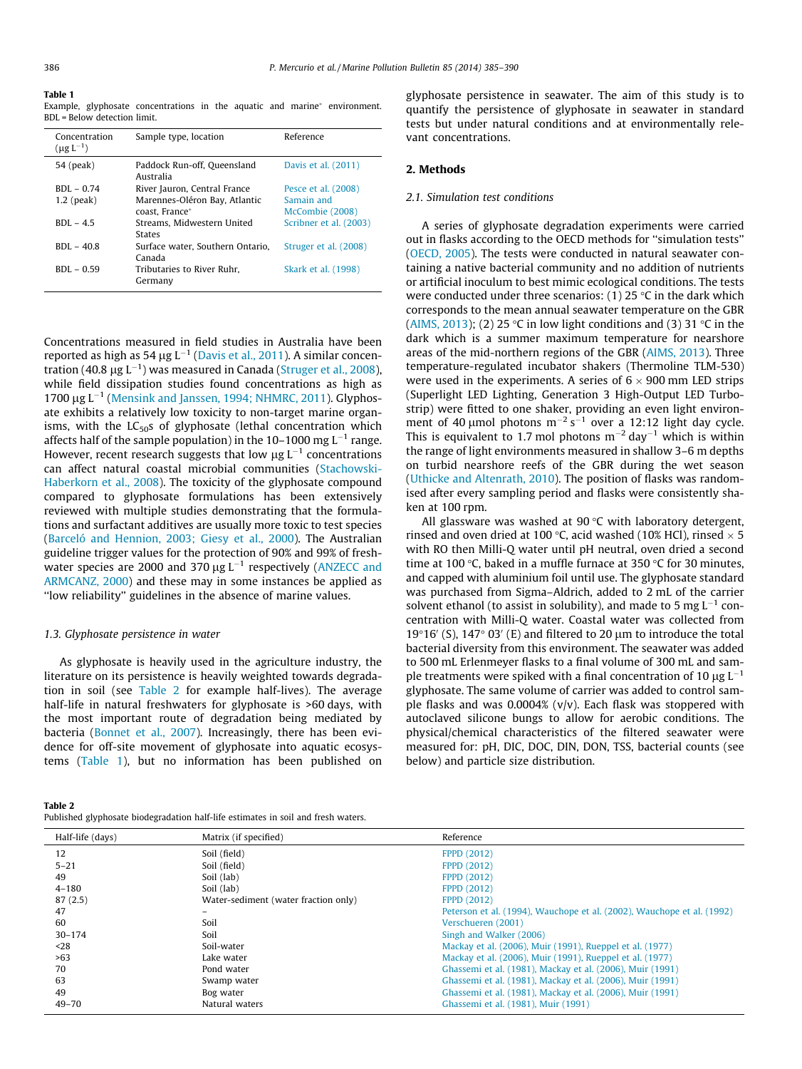<span id="page-1-0"></span>

#### Table 1

Example, glyphosate concentrations in the aquatic and marine\* environment. BDL = Below detection limit.

| Concentration<br>$(\mu g L^{-1})$ | Sample type, location                    | Reference              |
|-----------------------------------|------------------------------------------|------------------------|
| 54 (peak)                         | Paddock Run-off, Queensland<br>Australia | Davis et al. (2011)    |
| $BDL - 0.74$                      | River Jauron, Central France             | Pesce et al. (2008)    |
| $1.2$ (peak)                      | Marennes-Oléron Bay, Atlantic            | Samain and             |
|                                   | coast. France*                           | McCombie (2008)        |
| $BDL = 45$                        | Streams, Midwestern United               | Scribner et al. (2003) |
|                                   | <b>States</b>                            |                        |
| $BDL - 40.8$                      | Surface water, Southern Ontario,         | Struger et al. (2008)  |
|                                   | Canada                                   |                        |
| $BDL - 0.59$                      | Tributaries to River Ruhr.               | Skark et al. (1998)    |
|                                   | Germany                                  |                        |

Concentrations measured in field studies in Australia have been reported as high as 54  $\mu$ g L $^{-1}$  [\(Davis et al., 2011](#page-4-0)). A similar concentration (40.8  $\mu$ g L $^{-1}$ ) was measured in Canada ([Struger et al., 2008\)](#page-5-0), while field dissipation studies found concentrations as high as 1700 μg L<sup>-1</sup> ([Mensink and Janssen, 1994; NHMRC, 2011\)](#page-4-0). Glyphosate exhibits a relatively low toxicity to non-target marine organisms, with the  $LC_{50}$ s of glyphosate (lethal concentration which affects half of the sample population) in the 10–1000 mg L $^{-1}$  range. However, recent research suggests that low  $\mu$ g L $^{-1}$  concentrations can affect natural coastal microbial communities ([Stachowski-](#page-5-0)[Haberkorn et al., 2008](#page-5-0)). The toxicity of the glyphosate compound compared to glyphosate formulations has been extensively reviewed with multiple studies demonstrating that the formulations and surfactant additives are usually more toxic to test species ([Barceló and Hennion, 2003; Giesy et al., 2000](#page-4-0)). The Australian guideline trigger values for the protection of 90% and 99% of freshwater species are 2000 and 370  $\mu$ g L<sup>-1</sup> respectively [\(ANZECC and](#page-4-0) [ARMCANZ, 2000](#page-4-0)) and these may in some instances be applied as ''low reliability'' guidelines in the absence of marine values.

### 1.3. Glyphosate persistence in water

As glyphosate is heavily used in the agriculture industry, the literature on its persistence is heavily weighted towards degradation in soil (see Table 2 for example half-lives). The average half-life in natural freshwaters for glyphosate is >60 days, with the most important route of degradation being mediated by bacteria [\(Bonnet et al., 2007\)](#page-4-0). Increasingly, there has been evidence for off-site movement of glyphosate into aquatic ecosystems (Table 1), but no information has been published on

Table 2

Published glyphosate biodegradation half-life estimates in soil and fresh waters.

glyphosate persistence in seawater. The aim of this study is to quantify the persistence of glyphosate in seawater in standard tests but under natural conditions and at environmentally relevant concentrations.

# 2. Methods

# 2.1. Simulation test conditions

A series of glyphosate degradation experiments were carried out in flasks according to the OECD methods for ''simulation tests'' ([OECD, 2005\)](#page-4-0). The tests were conducted in natural seawater containing a native bacterial community and no addition of nutrients or artificial inoculum to best mimic ecological conditions. The tests were conducted under three scenarios:  $(1)$  25 °C in the dark which corresponds to the mean annual seawater temperature on the GBR ([AIMS, 2013\)](#page-4-0); (2) 25 °C in low light conditions and (3) 31 °C in the dark which is a summer maximum temperature for nearshore areas of the mid-northern regions of the GBR [\(AIMS, 2013\)](#page-4-0). Three temperature-regulated incubator shakers (Thermoline TLM-530) were used in the experiments. A series of  $6 \times 900$  mm LED strips (Superlight LED Lighting, Generation 3 High-Output LED Turbostrip) were fitted to one shaker, providing an even light environment of 40  $\mu$ mol photons m<sup>-2</sup> s<sup>-1</sup> over a 12:12 light day cycle. This is equivalent to 1.7 mol photons  $m^{-2}$  day<sup>-1</sup> which is within the range of light environments measured in shallow 3–6 m depths on turbid nearshore reefs of the GBR during the wet season ([Uthicke and Altenrath, 2010\)](#page-5-0). The position of flasks was randomised after every sampling period and flasks were consistently shaken at 100 rpm.

All glassware was washed at  $90\,^{\circ}\mathrm{C}$  with laboratory detergent, rinsed and oven dried at 100 °C, acid washed (10% HCl), rinsed  $\times$  5 with RO then Milli-Q water until pH neutral, oven dried a second time at 100 °C, baked in a muffle furnace at 350 °C for 30 minutes, and capped with aluminium foil until use. The glyphosate standard was purchased from Sigma–Aldrich, added to 2 mL of the carrier solvent ethanol (to assist in solubility), and made to 5 mg  $L^{-1}$  concentration with Milli-Q water. Coastal water was collected from 19°16' (S), 147° 03' (E) and filtered to 20  $\mu$ m to introduce the total bacterial diversity from this environment. The seawater was added to 500 mL Erlenmeyer flasks to a final volume of 300 mL and sample treatments were spiked with a final concentration of 10  $\mu$ g L<sup>-1</sup> glyphosate. The same volume of carrier was added to control sample flasks and was  $0.0004\%$  (v/v). Each flask was stoppered with autoclaved silicone bungs to allow for aerobic conditions. The physical/chemical characteristics of the filtered seawater were measured for: pH, DIC, DOC, DIN, DON, TSS, bacterial counts (see below) and particle size distribution.

| Half-life (days) | Matrix (if specified)                | Reference                                                              |
|------------------|--------------------------------------|------------------------------------------------------------------------|
| 12               | Soil (field)                         | <b>FPPD (2012)</b>                                                     |
| $5 - 21$         | Soil (field)                         | <b>FPPD (2012)</b>                                                     |
| 49               | Soil (lab)                           | <b>FPPD (2012)</b>                                                     |
| $4 - 180$        | Soil (lab)                           | <b>FPPD (2012)</b>                                                     |
| 87(2.5)          | Water-sediment (water fraction only) | <b>FPPD (2012)</b>                                                     |
| 47               |                                      | Peterson et al. (1994), Wauchope et al. (2002), Wauchope et al. (1992) |
| 60               | Soil                                 | Verschueren (2001)                                                     |
| $30 - 174$       | Soil                                 | Singh and Walker (2006)                                                |
| $28$             | Soil-water                           | Mackay et al. (2006), Muir (1991), Rueppel et al. (1977)               |
| >63              | Lake water                           | Mackay et al. (2006), Muir (1991), Rueppel et al. (1977)               |
| 70               | Pond water                           | Ghassemi et al. (1981), Mackay et al. (2006), Muir (1991)              |
| 63               | Swamp water                          | Ghassemi et al. (1981), Mackay et al. (2006), Muir (1991)              |
| 49               | Bog water                            | Ghassemi et al. (1981), Mackay et al. (2006), Muir (1991)              |
| $49 - 70$        | Natural waters                       | Ghassemi et al. (1981), Muir (1991)                                    |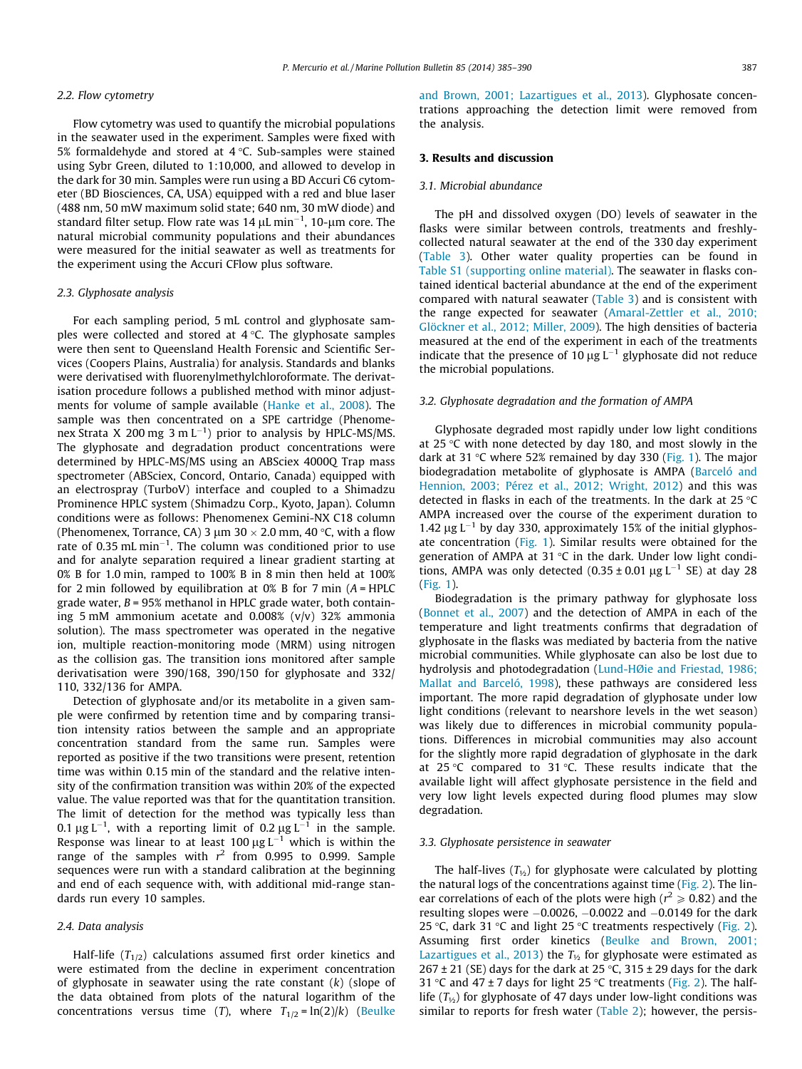#### 2.2. Flow cytometry

Flow cytometry was used to quantify the microbial populations in the seawater used in the experiment. Samples were fixed with 5% formaldehyde and stored at 4  $\rm ^{\circ}$ C. Sub-samples were stained using Sybr Green, diluted to 1:10,000, and allowed to develop in the dark for 30 min. Samples were run using a BD Accuri C6 cytometer (BD Biosciences, CA, USA) equipped with a red and blue laser (488 nm, 50 mW maximum solid state; 640 nm, 30 mW diode) and standard filter setup. Flow rate was 14  $\mu$ L min $^{-1}$ , 10- $\mu$ m core. The natural microbial community populations and their abundances were measured for the initial seawater as well as treatments for the experiment using the Accuri CFlow plus software.

### 2.3. Glyphosate analysis

For each sampling period, 5 mL control and glyphosate samples were collected and stored at 4  $^{\circ}$ C. The glyphosate samples were then sent to Queensland Health Forensic and Scientific Services (Coopers Plains, Australia) for analysis. Standards and blanks were derivatised with fluorenylmethylchloroformate. The derivatisation procedure follows a published method with minor adjustments for volume of sample available ([Hanke et al., 2008](#page-4-0)). The sample was then concentrated on a SPE cartridge (Phenomenex Strata  $X$  200 mg 3 m L<sup>-1</sup>) prior to analysis by HPLC-MS/MS. The glyphosate and degradation product concentrations were determined by HPLC-MS/MS using an ABSciex 4000Q Trap mass spectrometer (ABSciex, Concord, Ontario, Canada) equipped with an electrospray (TurboV) interface and coupled to a Shimadzu Prominence HPLC system (Shimadzu Corp., Kyoto, Japan). Column conditions were as follows: Phenomenex Gemini-NX C18 column (Phenomenex, Torrance, CA) 3  $\mu$ m 30  $\times$  2.0 mm, 40 °C, with a flow rate of 0.35 mL min<sup>-1</sup>. The column was conditioned prior to use and for analyte separation required a linear gradient starting at 0% B for 1.0 min, ramped to 100% B in 8 min then held at 100% for 2 min followed by equilibration at 0% B for 7 min  $(A = HPLC)$ grade water,  $B = 95\%$  methanol in HPLC grade water, both containing 5 mM ammonium acetate and 0.008% (v/v) 32% ammonia solution). The mass spectrometer was operated in the negative ion, multiple reaction-monitoring mode (MRM) using nitrogen as the collision gas. The transition ions monitored after sample derivatisation were 390/168, 390/150 for glyphosate and 332/ 110, 332/136 for AMPA.

Detection of glyphosate and/or its metabolite in a given sample were confirmed by retention time and by comparing transition intensity ratios between the sample and an appropriate concentration standard from the same run. Samples were reported as positive if the two transitions were present, retention time was within 0.15 min of the standard and the relative intensity of the confirmation transition was within 20% of the expected value. The value reported was that for the quantitation transition. The limit of detection for the method was typically less than 0.1  $\mu$ g L<sup>-1</sup>, with a reporting limit of 0.2  $\mu$ g L<sup>-1</sup> in the sample. Response was linear to at least 100  $\mu$ g L<sup>-1</sup> which is within the range of the samples with  $r^2$  from 0.995 to 0.999. Sample sequences were run with a standard calibration at the beginning and end of each sequence with, with additional mid-range standards run every 10 samples.

# 2.4. Data analysis

Half-life  $(T_{1/2})$  calculations assumed first order kinetics and were estimated from the decline in experiment concentration of glyphosate in seawater using the rate constant  $(k)$  (slope of the data obtained from plots of the natural logarithm of the concentrations versus time (T), where  $T_{1/2} = \ln(2)/k$ ) [\(Beulke](#page-4-0) [and Brown, 2001; Lazartigues et al., 2013](#page-4-0)). Glyphosate concentrations approaching the detection limit were removed from the analysis.

# 3. Results and discussion

# 3.1. Microbial abundance

The pH and dissolved oxygen (DO) levels of seawater in the flasks were similar between controls, treatments and freshlycollected natural seawater at the end of the 330 day experiment ([Table 3](#page-3-0)). Other water quality properties can be found in Table S1 (supporting online material). The seawater in flasks contained identical bacterial abundance at the end of the experiment compared with natural seawater [\(Table 3](#page-3-0)) and is consistent with the range expected for seawater [\(Amaral-Zettler et al., 2010;](#page-4-0) [Glöckner et al., 2012; Miller, 2009](#page-4-0)). The high densities of bacteria measured at the end of the experiment in each of the treatments indicate that the presence of 10  $\mu$ g L<sup>-1</sup> glyphosate did not reduce the microbial populations.

### 3.2. Glyphosate degradation and the formation of AMPA

Glyphosate degraded most rapidly under low light conditions at 25  $\degree$ C with none detected by day 180, and most slowly in the dark at 31 °C where 52% remained by day 330 [\(Fig. 1\)](#page-3-0). The major biodegradation metabolite of glyphosate is AMPA [\(Barceló and](#page-4-0) [Hennion, 2003; Pérez et al., 2012; Wright, 2012](#page-4-0)) and this was detected in flasks in each of the treatments. In the dark at 25  $^{\circ}$ C AMPA increased over the course of the experiment duration to 1.42  $\mu$ g L<sup>-1</sup> by day 330, approximately 15% of the initial glyphosate concentration [\(Fig. 1\)](#page-3-0). Similar results were obtained for the generation of AMPA at 31  $\rm{^{\circ}C}$  in the dark. Under low light conditions, AMPA was only detected  $(0.35 \pm 0.01 \ \mu g \ L^{-1} \ SE)$  at day 28 ([Fig. 1\)](#page-3-0).

Biodegradation is the primary pathway for glyphosate loss ([Bonnet et al., 2007](#page-4-0)) and the detection of AMPA in each of the temperature and light treatments confirms that degradation of glyphosate in the flasks was mediated by bacteria from the native microbial communities. While glyphosate can also be lost due to hydrolysis and photodegradation [\(Lund-HØie and Friestad, 1986;](#page-4-0) [Mallat and Barceló, 1998\)](#page-4-0), these pathways are considered less important. The more rapid degradation of glyphosate under low light conditions (relevant to nearshore levels in the wet season) was likely due to differences in microbial community populations. Differences in microbial communities may also account for the slightly more rapid degradation of glyphosate in the dark at 25 °C compared to 31 °C. These results indicate that the available light will affect glyphosate persistence in the field and very low light levels expected during flood plumes may slow degradation.

# 3.3. Glyphosate persistence in seawater

The half-lives  $(T_{1/2})$  for glyphosate were calculated by plotting the natural logs of the concentrations against time [\(Fig. 2](#page-3-0)). The linear correlations of each of the plots were high ( $r^2 \geqslant 0.82$ ) and the resulting slopes were -0.0026, -0.0022 and -0.0149 for the dark 25 °C, dark 31 °C and light 25 °C treatments respectively ([Fig. 2\)](#page-3-0). Assuming first order kinetics ([Beulke and Brown, 2001;](#page-4-0) [Lazartigues et al., 2013](#page-4-0)) the  $T_{1/2}$  for glyphosate were estimated as 267  $\pm$  21 (SE) days for the dark at 25 °C, 315  $\pm$  29 days for the dark 31 °C and 47  $\pm$  7 days for light 25 °C treatments ([Fig. 2](#page-3-0)). The halflife  $(T_{1/2})$  for glyphosate of 47 days under low-light conditions was similar to reports for fresh water  $(Table 2)$ ; however, the persis-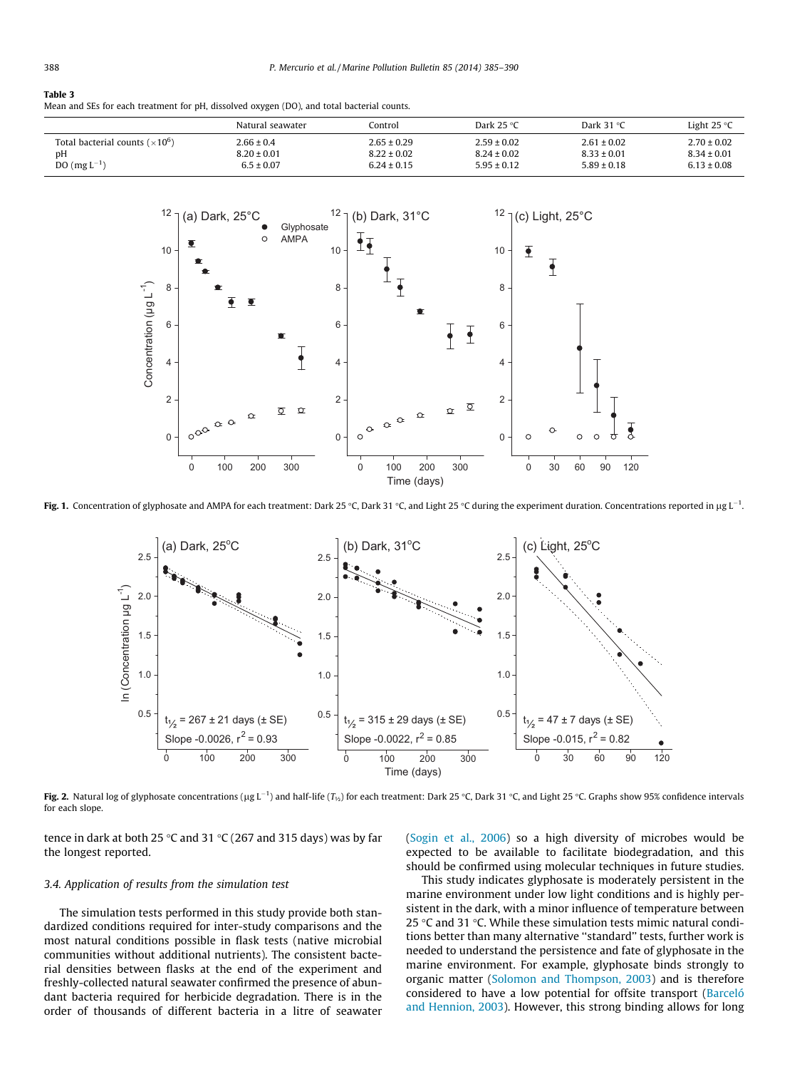#### <span id="page-3-0"></span>Table 3

Mean and SEs for each treatment for pH, dissolved oxygen (DO), and total bacterial counts.

|                                  | Natural seawater | Control         | Dark 25 $\degree$ C | Dark 31 $\degree$ C | Light 25 $\degree$ C |
|----------------------------------|------------------|-----------------|---------------------|---------------------|----------------------|
| Total bacterial counts $(x10^6)$ | $2.66 \pm 0.4$   | $2.65 \pm 0.29$ | $2.59 \pm 0.02$     | $2.61 \pm 0.02$     | $2.70 \pm 0.02$      |
| pH                               | $8.20 \pm 0.01$  | $8.22 \pm 0.02$ | $8.24 \pm 0.02$     | $8.33 \pm 0.01$     | $8.34 \pm 0.01$      |
| $DO(mgL^{-1})$                   | $6.5 \pm 0.07$   | $6.24 \pm 0.15$ | $5.95 \pm 0.12$     | $5.89 \pm 0.18$     | $6.13 \pm 0.08$      |



**Fig. 1.** Concentration of glyphosate and AMPA for each treatment: Dark 25 °C, Dark 31 °C, and Light 25 °C during the experiment duration. Concentrations reported in  $\mu$ g L<sup>-1</sup>.



**Fig. 2.** Natural log of glyphosate concentrations (µg L<sup>-1</sup>) and half-life (T<sub>½</sub>) for each treatment: Dark 25 °C, Dark 31 °C, and Light 25 °C. Graphs show 95% confidence intervals for each slope.

tence in dark at both 25 °C and 31 °C (267 and 315 days) was by far the longest reported.

#### 3.4. Application of results from the simulation test

The simulation tests performed in this study provide both standardized conditions required for inter-study comparisons and the most natural conditions possible in flask tests (native microbial communities without additional nutrients). The consistent bacterial densities between flasks at the end of the experiment and freshly-collected natural seawater confirmed the presence of abundant bacteria required for herbicide degradation. There is in the order of thousands of different bacteria in a litre of seawater ([Sogin et al., 2006\)](#page-5-0) so a high diversity of microbes would be expected to be available to facilitate biodegradation, and this should be confirmed using molecular techniques in future studies.

This study indicates glyphosate is moderately persistent in the marine environment under low light conditions and is highly persistent in the dark, with a minor influence of temperature between 25  $\degree$ C and 31  $\degree$ C. While these simulation tests mimic natural conditions better than many alternative ''standard'' tests, further work is needed to understand the persistence and fate of glyphosate in the marine environment. For example, glyphosate binds strongly to organic matter [\(Solomon and Thompson, 2003\)](#page-5-0) and is therefore considered to have a low potential for offsite transport [\(Barceló](#page-4-0) [and Hennion, 2003](#page-4-0)). However, this strong binding allows for long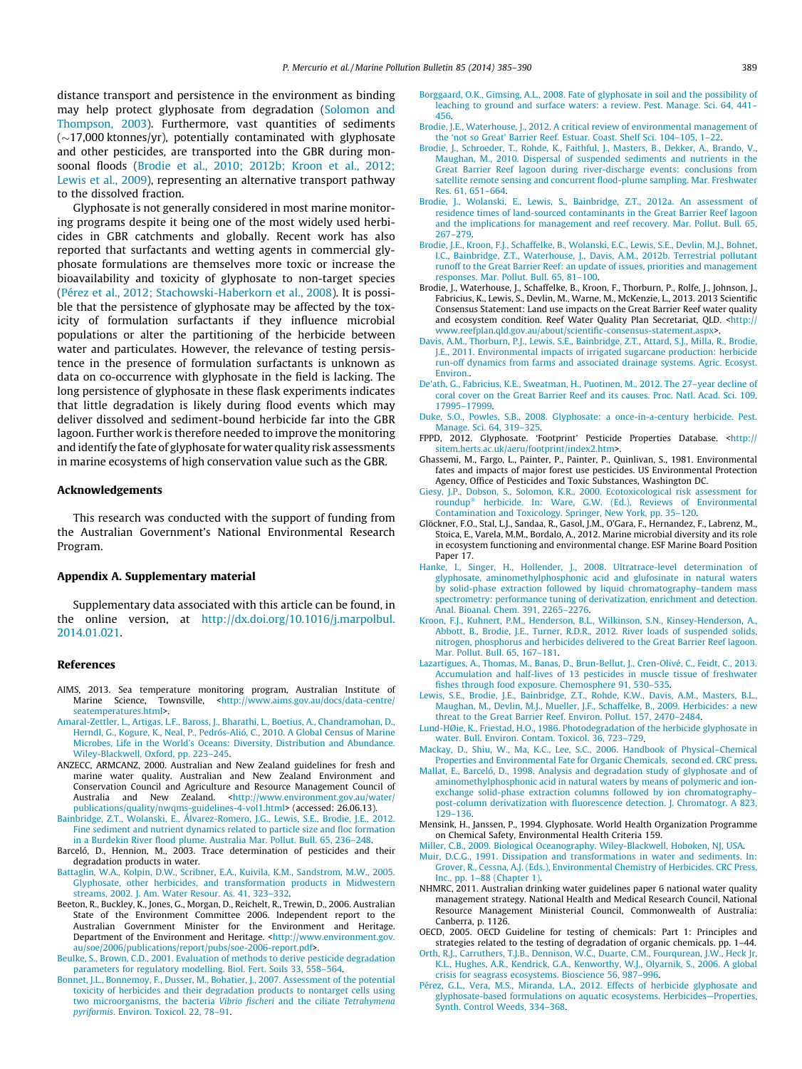<span id="page-4-0"></span>distance transport and persistence in the environment as binding may help protect glyphosate from degradation [\(Solomon and](#page-5-0) [Thompson, 2003](#page-5-0)). Furthermore, vast quantities of sediments  $(\sim 17,000$  ktonnes/yr), potentially contaminated with glyphosate and other pesticides, are transported into the GBR during monsoonal floods (Brodie et al., 2010; 2012b; Kroon et al., 2012; Lewis et al., 2009), representing an alternative transport pathway to the dissolved fraction.

Glyphosate is not generally considered in most marine monitoring programs despite it being one of the most widely used herbicides in GBR catchments and globally. Recent work has also reported that surfactants and wetting agents in commercial glyphosate formulations are themselves more toxic or increase the bioavailability and toxicity of glyphosate to non-target species (Pérez et al., 2012; Stachowski-Haberkorn et al., 2008). It is possible that the persistence of glyphosate may be affected by the toxicity of formulation surfactants if they influence microbial populations or alter the partitioning of the herbicide between water and particulates. However, the relevance of testing persistence in the presence of formulation surfactants is unknown as data on co-occurrence with glyphosate in the field is lacking. The long persistence of glyphosate in these flask experiments indicates that little degradation is likely during flood events which may deliver dissolved and sediment-bound herbicide far into the GBR lagoon. Further work is therefore needed to improve the monitoring and identify the fate of glyphosate for water quality risk assessments in marine ecosystems of high conservation value such as the GBR.

# Acknowledgements

This research was conducted with the support of funding from the Australian Government's National Environmental Research Program.

### Appendix A. Supplementary material

Supplementary data associated with this article can be found, in the online version, at [http://dx.doi.org/10.1016/j.marpolbul.](http://dx.doi.org/10.1016/j.marpolbul.2014.01.021) [2014.01.021](http://dx.doi.org/10.1016/j.marpolbul.2014.01.021).

### References

- AIMS, 2013. Sea temperature monitoring program, Australian Institute of Marine Science, Townsville, [<http://www.aims.gov.au/docs/data-centre/](http://www.aims.gov.au/docs/data-centre/seatemperatures.html) [seatemperatures.html>](http://www.aims.gov.au/docs/data-centre/seatemperatures.html).
- [Amaral-Zettler, L., Artigas, L.F., Baross, J., Bharathi, L., Boetius, A., Chandramohan, D.,](http://refhub.elsevier.com/S0025-326X(14)00022-8/h0010) [Herndl, G., Kogure, K., Neal, P., Pedrós-Alió, C., 2010. A Global Census of Marine](http://refhub.elsevier.com/S0025-326X(14)00022-8/h0010) [Microbes, Life in the World's Oceans: Diversity, Distribution and Abundance.](http://refhub.elsevier.com/S0025-326X(14)00022-8/h0010) [Wiley-Blackwell, Oxford, pp. 223–245](http://refhub.elsevier.com/S0025-326X(14)00022-8/h0010).
- ANZECC, ARMCANZ, 2000. Australian and New Zealand guidelines for fresh and marine water quality. Australian and New Zealand Environment and Conservation Council and Agriculture and Resource Management Council of Australia and New Zealand. [<http://www.environment.gov.au/water/](http://www.environment.gov.au/water/publications/quality/nwqms-guidelines-4-vol1.html) [publications/quality/nwqms-guidelines-4-vol1.html>](http://www.environment.gov.au/water/publications/quality/nwqms-guidelines-4-vol1.html) (accessed: 26.06.13).
- [Bainbridge, Z.T., Wolanski, E., Álvarez-Romero, J.G., Lewis, S.E., Brodie, J.E., 2012.](http://refhub.elsevier.com/S0025-326X(14)00022-8/h0020) [Fine sediment and nutrient dynamics related to particle size and floc formation](http://refhub.elsevier.com/S0025-326X(14)00022-8/h0020) [in a Burdekin River flood plume. Australia Mar. Pollut. Bull. 65, 236–248.](http://refhub.elsevier.com/S0025-326X(14)00022-8/h0020)
- Barceló, D., Hennion, M., 2003. Trace determination of pesticides and their degradation products in water.
- [Battaglin, W.A., Kolpin, D.W., Scribner, E.A., Kuivila, K.M., Sandstrom, M.W., 2005.](http://refhub.elsevier.com/S0025-326X(14)00022-8/h0030) [Glyphosate, other herbicides, and transformation products in Midwestern](http://refhub.elsevier.com/S0025-326X(14)00022-8/h0030) [streams, 2002. J. Am. Water Resour. As. 41, 323–332.](http://refhub.elsevier.com/S0025-326X(14)00022-8/h0030)
- Beeton, R., Buckley, K., Jones, G., Morgan, D., Reichelt, R., Trewin, D., 2006. Australian State of the Environment Committee 2006. Independent report to the Australian Government Minister for the Environment and Heritage. Department of the Environment and Heritage. <[http://www.environment.gov.](http://www.environment.gov.au/soe/2006/publications/report/pubs/soe-2006-report.pdf) [au/soe/2006/publications/report/pubs/soe-2006-report.pdf](http://www.environment.gov.au/soe/2006/publications/report/pubs/soe-2006-report.pdf)>.
- [Beulke, S., Brown, C.D., 2001. Evaluation of methods to derive pesticide degradation](http://refhub.elsevier.com/S0025-326X(14)00022-8/h0040) [parameters for regulatory modelling. Biol. Fert. Soils 33, 558–564](http://refhub.elsevier.com/S0025-326X(14)00022-8/h0040).
- [Bonnet, J.L., Bonnemoy, F., Dusser, M., Bohatier, J., 2007. Assessment of the potential](http://refhub.elsevier.com/S0025-326X(14)00022-8/h0045) [toxicity of herbicides and their degradation products to nontarget cells using](http://refhub.elsevier.com/S0025-326X(14)00022-8/h0045) [two microorganisms, the bacteria](http://refhub.elsevier.com/S0025-326X(14)00022-8/h0045) Vibrio fischeri and the ciliate Tetrahymena pyriformis[. Environ. Toxicol. 22, 78–91.](http://refhub.elsevier.com/S0025-326X(14)00022-8/h0045)
- [Borggaard, O.K., Gimsing, A.L., 2008. Fate of glyphosate in soil and the possibility of](http://refhub.elsevier.com/S0025-326X(14)00022-8/h0050) [leaching to ground and surface waters: a review. Pest. Manage. Sci. 64, 441–](http://refhub.elsevier.com/S0025-326X(14)00022-8/h0050) [456.](http://refhub.elsevier.com/S0025-326X(14)00022-8/h0050)
- [Brodie, J.E., Waterhouse, J., 2012. A critical review of environmental management of](http://refhub.elsevier.com/S0025-326X(14)00022-8/h0055) [the 'not so Great' Barrier Reef. Estuar. Coast. Shelf Sci. 104–105, 1–22](http://refhub.elsevier.com/S0025-326X(14)00022-8/h0055).
- [Brodie, J., Schroeder, T., Rohde, K., Faithful, J., Masters, B., Dekker, A., Brando, V.,](http://refhub.elsevier.com/S0025-326X(14)00022-8/h0060) [Maughan, M., 2010. Dispersal of suspended sediments and nutrients in the](http://refhub.elsevier.com/S0025-326X(14)00022-8/h0060) [Great Barrier Reef lagoon during river-discharge events: conclusions from](http://refhub.elsevier.com/S0025-326X(14)00022-8/h0060) [satellite remote sensing and concurrent flood-plume sampling. Mar. Freshwater](http://refhub.elsevier.com/S0025-326X(14)00022-8/h0060) [Res. 61, 651–664.](http://refhub.elsevier.com/S0025-326X(14)00022-8/h0060)
- [Brodie, J., Wolanski, E., Lewis, S., Bainbridge, Z.T., 2012a. An assessment of](http://refhub.elsevier.com/S0025-326X(14)00022-8/h0065) [residence times of land-sourced contaminants in the Great Barrier Reef lagoon](http://refhub.elsevier.com/S0025-326X(14)00022-8/h0065) [and the implications for management and reef recovery. Mar. Pollut. Bull. 65,](http://refhub.elsevier.com/S0025-326X(14)00022-8/h0065) [267–279](http://refhub.elsevier.com/S0025-326X(14)00022-8/h0065).
- [Brodie, J.E., Kroon, F.J., Schaffelke, B., Wolanski, E.C., Lewis, S.E., Devlin, M.J., Bohnet,](http://refhub.elsevier.com/S0025-326X(14)00022-8/h0070) [I.C., Bainbridge, Z.T., Waterhouse, J., Davis, A.M., 2012b. Terrestrial pollutant](http://refhub.elsevier.com/S0025-326X(14)00022-8/h0070) [runoff to the Great Barrier Reef: an update of issues, priorities and management](http://refhub.elsevier.com/S0025-326X(14)00022-8/h0070) [responses. Mar. Pollut. Bull. 65, 81–100.](http://refhub.elsevier.com/S0025-326X(14)00022-8/h0070)
- Brodie, J., Waterhouse, J., Schaffelke, B., Kroon, F., Thorburn, P., Rolfe, J., Johnson, J., Fabricius, K., Lewis, S., Devlin, M., Warne, M., McKenzie, L., 2013. 2013 Scientific Consensus Statement: Land use impacts on the Great Barrier Reef water quality and ecosystem condition. Reef Water Quality Plan Secretariat, QLD. <[http://](http://www.reefplan.qld.gov.au/about/scientific-consensus-statement.aspx) [www.reefplan.qld.gov.au/about/scientific-consensus-statement.aspx](http://www.reefplan.qld.gov.au/about/scientific-consensus-statement.aspx)>.
- [Davis, A.M., Thorburn, P.J., Lewis, S.E., Bainbridge, Z.T., Attard, S.J., Milla, R., Brodie,](http://refhub.elsevier.com/S0025-326X(14)00022-8/h0080) [J.E., 2011. Environmental impacts of irrigated sugarcane production: herbicide](http://refhub.elsevier.com/S0025-326X(14)00022-8/h0080) [run-off dynamics from farms and associated drainage systems. Agric. Ecosyst.](http://refhub.elsevier.com/S0025-326X(14)00022-8/h0080) [Environ.](http://refhub.elsevier.com/S0025-326X(14)00022-8/h0080).
- [De'ath, G., Fabricius, K.E., Sweatman, H., Puotinen, M., 2012. The 27–year decline of](http://refhub.elsevier.com/S0025-326X(14)00022-8/h0085) [coral cover on the Great Barrier Reef and its causes. Proc. Natl. Acad. Sci. 109,](http://refhub.elsevier.com/S0025-326X(14)00022-8/h0085) [17995–17999](http://refhub.elsevier.com/S0025-326X(14)00022-8/h0085).
- [Duke, S.O., Powles, S.B., 2008. Glyphosate: a once-in-a-century herbicide. Pest.](http://refhub.elsevier.com/S0025-326X(14)00022-8/h0090) [Manage. Sci. 64, 319–325](http://refhub.elsevier.com/S0025-326X(14)00022-8/h0090).
- FPPD, 2012. Glyphosate. 'Footprint' Pesticide Properties Database. <[http://](http://sitem.herts.ac.uk/aeru/footprint/index2.htm) [sitem.herts.ac.uk/aeru/footprint/index2.htm>](http://sitem.herts.ac.uk/aeru/footprint/index2.htm).
- Ghassemi, M., Fargo, L., Painter, P., Painter, P., Quinlivan, S., 1981. Environmental fates and impacts of major forest use pesticides. US Environmental Protection Agency, Office of Pesticides and Toxic Substances, Washington DC.
- [Giesy, J.P., Dobson, S., Solomon, K.R., 2000. Ecotoxicological risk assessment for](http://refhub.elsevier.com/S0025-326X(14)00022-8/h0110) [roundup](http://refhub.elsevier.com/S0025-326X(14)00022-8/h0110)<sup>®</sup> [herbicide. In: Ware, G.W. \(Ed.\), Reviews of Environmental](http://refhub.elsevier.com/S0025-326X(14)00022-8/h0110) [Contamination and Toxicology. Springer, New York, pp. 35–120](http://refhub.elsevier.com/S0025-326X(14)00022-8/h0110).
- Glöckner, F.O., Stal, L.J., Sandaa, R., Gasol, J.M., O'Gara, F., Hernandez, F., Labrenz, M., Stoica, E., Varela, M.M., Bordalo, A., 2012. Marine microbial diversity and its role in ecosystem functioning and environmental change. ESF Marine Board Position Paper 17.
- [Hanke, I., Singer, H., Hollender, J., 2008. Ultratrace-level determination of](http://refhub.elsevier.com/S0025-326X(14)00022-8/h0120) [glyphosate, aminomethylphosphonic acid and glufosinate in natural waters](http://refhub.elsevier.com/S0025-326X(14)00022-8/h0120) [by solid-phase extraction followed by liquid chromatography–tandem mass](http://refhub.elsevier.com/S0025-326X(14)00022-8/h0120) [spectrometry: performance tuning of derivatization, enrichment and detection.](http://refhub.elsevier.com/S0025-326X(14)00022-8/h0120) [Anal. Bioanal. Chem. 391, 2265–2276](http://refhub.elsevier.com/S0025-326X(14)00022-8/h0120).
- [Kroon, F.J., Kuhnert, P.M., Henderson, B.L., Wilkinson, S.N., Kinsey-Henderson, A.,](http://refhub.elsevier.com/S0025-326X(14)00022-8/h0125) [Abbott, B., Brodie, J.E., Turner, R.D.R., 2012. River loads of suspended solids,](http://refhub.elsevier.com/S0025-326X(14)00022-8/h0125) [nitrogen, phosphorus and herbicides delivered to the Great Barrier Reef lagoon.](http://refhub.elsevier.com/S0025-326X(14)00022-8/h0125) [Mar. Pollut. Bull. 65, 167–181](http://refhub.elsevier.com/S0025-326X(14)00022-8/h0125).
- [Lazartigues, A., Thomas, M., Banas, D., Brun-Bellut, J., Cren-Olivé, C., Feidt, C., 2013.](http://refhub.elsevier.com/S0025-326X(14)00022-8/h0130) [Accumulation and half-lives of 13 pesticides in muscle tissue of freshwater](http://refhub.elsevier.com/S0025-326X(14)00022-8/h0130) [fishes through food exposure. Chemosphere 91, 530–535](http://refhub.elsevier.com/S0025-326X(14)00022-8/h0130).
- [Lewis, S.E., Brodie, J.E., Bainbridge, Z.T., Rohde, K.W., Davis, A.M., Masters, B.L.,](http://refhub.elsevier.com/S0025-326X(14)00022-8/h0135) [Maughan, M., Devlin, M.J., Mueller, J.F., Schaffelke, B., 2009. Herbicides: a new](http://refhub.elsevier.com/S0025-326X(14)00022-8/h0135) [threat to the Great Barrier Reef. Environ. Pollut. 157, 2470–2484](http://refhub.elsevier.com/S0025-326X(14)00022-8/h0135).
- [Lund-HØie, K., Friestad, H.O., 1986. Photodegradation of the herbicide glyphosate in](http://refhub.elsevier.com/S0025-326X(14)00022-8/h0140) [water. Bull. Environ. Contam. Toxicol. 36, 723–729](http://refhub.elsevier.com/S0025-326X(14)00022-8/h0140).
- [Mackay, D., Shiu, W., Ma, K.C., Lee, S.C., 2006. Handbook of Physical–Chemical](http://refhub.elsevier.com/S0025-326X(14)00022-8/h0145) [Properties and Environmental Fate for Organic Chemicals, second ed. CRC press.](http://refhub.elsevier.com/S0025-326X(14)00022-8/h0145)
- [Mallat, E., Barceló, D., 1998. Analysis and degradation study of glyphosate and of](http://refhub.elsevier.com/S0025-326X(14)00022-8/h0150) [aminomethylphosphonic acid in natural waters by means of polymeric and ion](http://refhub.elsevier.com/S0025-326X(14)00022-8/h0150)[exchange solid-phase extraction columns followed by ion chromatography–](http://refhub.elsevier.com/S0025-326X(14)00022-8/h0150) [post-column derivatization with fluorescence detection. J. Chromatogr. A 823,](http://refhub.elsevier.com/S0025-326X(14)00022-8/h0150) [129–136](http://refhub.elsevier.com/S0025-326X(14)00022-8/h0150).
- Mensink, H., Janssen, P., 1994. Glyphosate. World Health Organization Programme on Chemical Safety, Environmental Health Criteria 159.

[Miller, C.B., 2009. Biological Oceanography. Wiley-Blackwell, Hoboken, NJ, USA](http://refhub.elsevier.com/S0025-326X(14)00022-8/h0160).

- [Muir, D.C.G., 1991. Dissipation and transformations in water and sediments. In:](http://refhub.elsevier.com/S0025-326X(14)00022-8/h0165) [Grover, R., Cessna, A.J. \(Eds.\), Environmental Chemistry of Herbicides. CRC Press,](http://refhub.elsevier.com/S0025-326X(14)00022-8/h0165) [Inc., pp. 1–88 \(Chapter 1\)](http://refhub.elsevier.com/S0025-326X(14)00022-8/h0165).
- NHMRC, 2011. Australian drinking water guidelines paper 6 national water quality management strategy. National Health and Medical Research Council, National Resource Management Ministerial Council, Commonwealth of Australia: Canberra, p. 1126.
- OECD, 2005. OECD Guideline for testing of chemicals: Part 1: Principles and strategies related to the testing of degradation of organic chemicals. pp. 1–44.
- [Orth, R.J., Carruthers, T.J.B., Dennison, W.C., Duarte, C.M., Fourqurean, J.W., Heck Jr,](http://refhub.elsevier.com/S0025-326X(14)00022-8/h0180) [K.L., Hughes, A.R., Kendrick, G.A., Kenworthy, W.J., Olyarnik, S., 2006. A global](http://refhub.elsevier.com/S0025-326X(14)00022-8/h0180) [crisis for seagrass ecosystems. Bioscience 56, 987–996](http://refhub.elsevier.com/S0025-326X(14)00022-8/h0180).
- [Pérez, G.L., Vera, M.S., Miranda, L.A., 2012. Effects of herbicide glyphosate and](http://refhub.elsevier.com/S0025-326X(14)00022-8/h0185) [glyphosate-based formulations on aquatic ecosystems. Herbicides—Properties,](http://refhub.elsevier.com/S0025-326X(14)00022-8/h0185) [Synth. Control Weeds, 334–368.](http://refhub.elsevier.com/S0025-326X(14)00022-8/h0185)